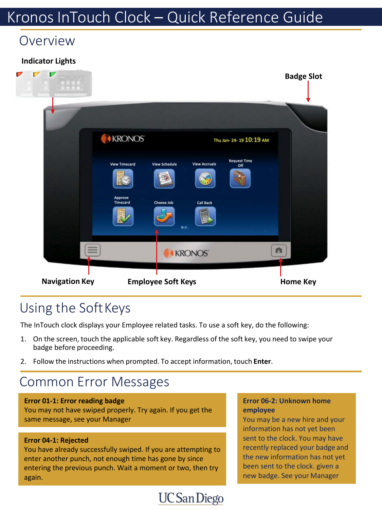## Kronos InTouch Clock – Quick Reference Guide

## Overview

### **Indicator Lights**



## Using the SoftKeys

The InTouch clock displays your Employee related tasks. To use a soft key, do the following:

1. On the screen, touch the applicable soft key. Regardless of the soft key, you need to swipe your badge before proceeding.

**UC** San Diego

2. Follow the instructions when prompted. To accept information, touch **Enter**.

## Common Error Messages

#### **Error 01-1: Error reading badge**

You may not have swiped properly. Try again. If you get the same message, see your Manager

### **Error 04-1: Rejected**

You have already successfully swiped. If you are attempting to enter another punch, not enough time has gone by since entering the previous punch. Wait a moment or two, then try again.

#### **Error 06-2: Unknown home employee**

You may be a new hire and your information has not yet been sent to the clock. You may have recently replaced your badge and the new information has not yet been sent to the clock. given a new badge. See your Manager